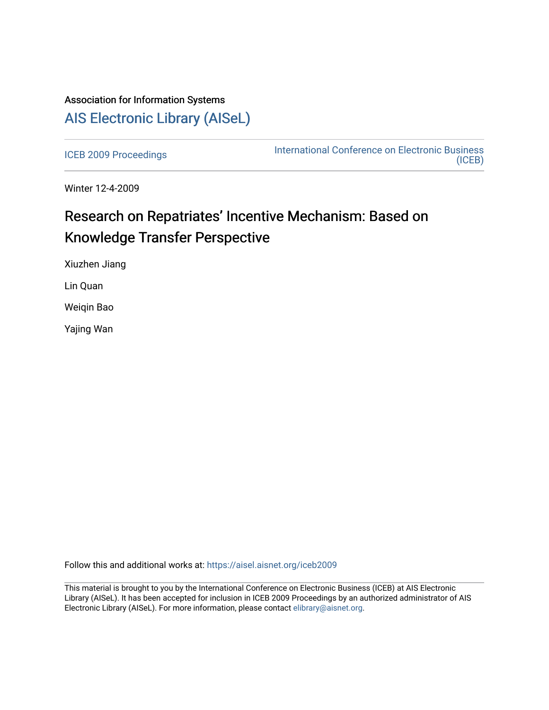## Association for Information Systems [AIS Electronic Library \(AISeL\)](https://aisel.aisnet.org/)

[ICEB 2009 Proceedings](https://aisel.aisnet.org/iceb2009) **International Conference on Electronic Business** [\(ICEB\)](https://aisel.aisnet.org/iceb) 

Winter 12-4-2009

# Research on Repatriates' Incentive Mechanism: Based on Knowledge Transfer Perspective

Xiuzhen Jiang

Lin Quan

Weiqin Bao

Yajing Wan

Follow this and additional works at: [https://aisel.aisnet.org/iceb2009](https://aisel.aisnet.org/iceb2009?utm_source=aisel.aisnet.org%2Ficeb2009%2F102&utm_medium=PDF&utm_campaign=PDFCoverPages)

This material is brought to you by the International Conference on Electronic Business (ICEB) at AIS Electronic Library (AISeL). It has been accepted for inclusion in ICEB 2009 Proceedings by an authorized administrator of AIS Electronic Library (AISeL). For more information, please contact [elibrary@aisnet.org.](mailto:elibrary@aisnet.org%3E)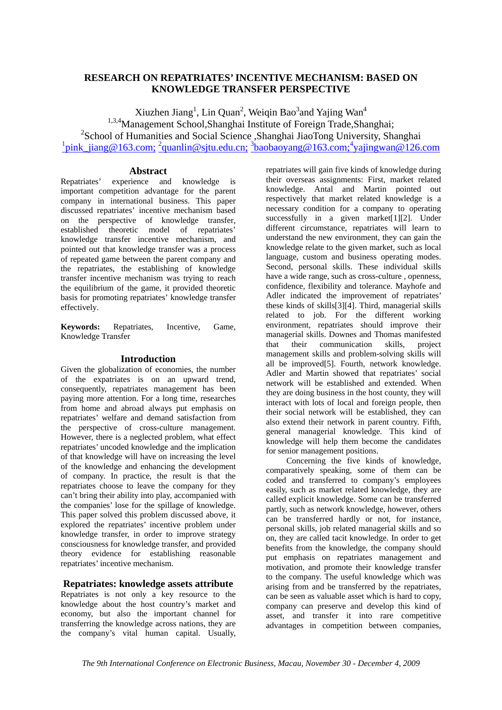## **RESEARCH ON REPATRIATES' INCENTIVE MECHANISM: BASED ON KNOWLEDGE TRANSFER PERSPECTIVE**

Xiuzhen Jiang<sup>1</sup>, Lin Quan<sup>2</sup>, Weiqin Bao<sup>3</sup>and Yajing Wan<sup>4</sup> <sup>1,3,4</sup>Management School,Shanghai Institute of Foreign Trade,Shanghai; 2 School of Humanities and Social Science ,Shanghai JiaoTong University, Shanghai <sup>1</sup>pink\_jiang@163.com; <sup>2</sup>quanlin@sjtu.edu.cn; <sup>3</sup>baobaoyang@163.com;<sup>4</sup>yajingwan@126.com

## **Abstract**

Repatriates' experience and knowledge is important competition advantage for the parent company in international business. This paper discussed repatriates' incentive mechanism based on the perspective of knowledge transfer, established theoretic model of repatriates' knowledge transfer incentive mechanism, and pointed out that knowledge transfer was a process of repeated game between the parent company and the repatriates, the establishing of knowledge transfer incentive mechanism was trying to reach the equilibrium of the game, it provided theoretic basis for promoting repatriates' knowledge transfer effectively.

**Keywords:** Repatriates, Incentive, Game, Knowledge Transfer

### **Introduction**

Given the globalization of economies, the number of the expatriates is on an upward trend, consequently, repatriates management has been paying more attention. For a long time, researches from home and abroad always put emphasis on repatriates' welfare and demand satisfaction from the perspective of cross-culture management. However, there is a neglected problem, what effect repatriates' uncoded knowledge and the implication of that knowledge will have on increasing the level of the knowledge and enhancing the development of company. In practice, the result is that the repatriates choose to leave the company for they can't bring their ability into play, accompanied with the companies' lose for the spillage of knowledge. This paper solved this problem discussed above, it explored the repatriates' incentive problem under knowledge transfer, in order to improve strategy consciousness for knowledge transfer, and provided theory evidence for establishing reasonable repatriates' incentive mechanism.

## **Repatriates: knowledge assets attribute**

Repatriates is not only a key resource to the knowledge about the host country's market and economy, but also the important channel for transferring the knowledge across nations, they are the company's vital human capital. Usually,

repatriates will gain five kinds of knowledge during their overseas assignments: First, market related knowledge. Antal and Martin pointed out respectively that market related knowledge is a necessary condition for a company to operating successfully in a given market[1][2]. Under different circumstance, repatriates will learn to understand the new environment, they can gain the knowledge relate to the given market, such as local language, custom and business operating modes. Second, personal skills. These individual skills have a wide range, such as cross-culture , openness, confidence, flexibility and tolerance. Mayhofe and Adler indicated the improvement of repatriates' these kinds of skills[3][4]. Third, managerial skills related to job. For the different working environment, repatriates should improve their managerial skills. Downes and Thomas manifested that their communication skills, project management skills and problem-solving skills will all be improved[5]. Fourth, network knowledge. Adler and Martin showed that repatriates' social network will be established and extended. When they are doing business in the host county, they will interact with lots of local and foreign people, then their social network will be established, they can also extend their network in parent country. Fifth, general managerial knowledge. This kind of knowledge will help them become the candidates for senior management positions.

Concerning the five kinds of knowledge, comparatively speaking, some of them can be coded and transferred to company's employees easily, such as market related knowledge, they are called explicit knowledge. Some can be transferred partly, such as network knowledge, however, others can be transferred hardly or not, for instance, personal skills, job related managerial skills and so on, they are called tacit knowledge. In order to get benefits from the knowledge, the company should put emphasis on repatriates management and motivation, and promote their knowledge transfer to the company. The useful knowledge which was arising from and be transferred by the repatriates, can be seen as valuable asset which is hard to copy, company can preserve and develop this kind of asset, and transfer it into rare competitive advantages in competition between companies,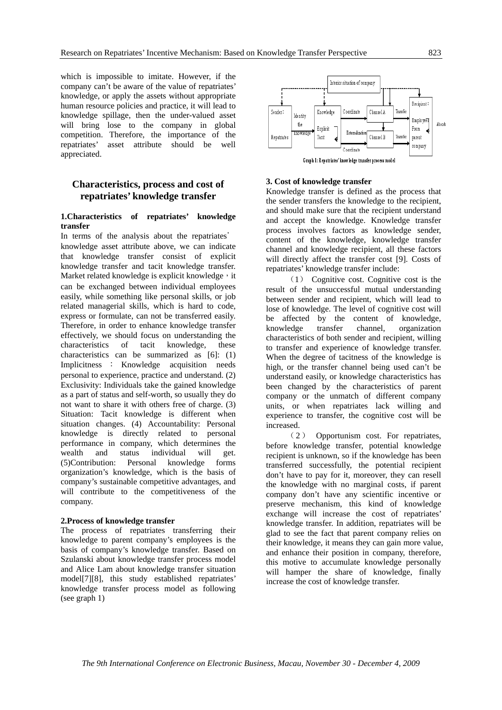which is impossible to imitate. However, if the company can't be aware of the value of repatriates' knowledge, or apply the assets without appropriate human resource policies and practice, it will lead to knowledge spillage, then the under-valued asset will bring lose to the company in global competition. Therefore, the importance of the repatriates' asset attribute should be well appreciated.

## **Characteristics, process and cost of repatriates' knowledge transfer**

#### **1.Characteristics of repatriates' knowledge transfer**

In terms of the analysis about the repatriates' knowledge asset attribute above, we can indicate that knowledge transfer consist of explicit knowledge transfer and tacit knowledge transfer. Market related knowledge is explicit knowledge, it can be exchanged between individual employees easily, while something like personal skills, or job related managerial skills, which is hard to code, express or formulate, can not be transferred easily. Therefore, in order to enhance knowledge transfer effectively, we should focus on understanding the characteristics of tacit knowledge, these characteristics can be summarized as [6]: (1) Implicitness : Knowledge acquisition needs personal to experience, practice and understand. (2) Exclusivity: Individuals take the gained knowledge as a part of status and self-worth, so usually they do not want to share it with others free of charge. (3) Situation: Tacit knowledge is different when situation changes. (4) Accountability: Personal knowledge is directly related to personal performance in company, which determines the wealth and status individual will get. (5)Contribution: Personal knowledge forms organization's knowledge, which is the basis of company's sustainable competitive advantages, and will contribute to the competitiveness of the company.

#### **2.Process of knowledge transfer**

The process of repatriates transferring their knowledge to parent company's employees is the basis of company's knowledge transfer. Based on Szulanski about knowledge transfer process model and Alice Lam about knowledge transfer situation model[7][8], this study established repatriates' knowledge transfer process model as following (see graph 1)



#### **3. Cost of knowledge transfer**

Knowledge transfer is defined as the process that the sender transfers the knowledge to the recipient, and should make sure that the recipient understand and accept the knowledge. Knowledge transfer process involves factors as knowledge sender, content of the knowledge, knowledge transfer channel and knowledge recipient, all these factors will directly affect the transfer cost [9]. Costs of repatriates' knowledge transfer include:

(1) Cognitive cost. Cognitive cost is the result of the unsuccessful mutual understanding between sender and recipient, which will lead to lose of knowledge. The level of cognitive cost will be affected by the content of knowledge, knowledge transfer channel, organization characteristics of both sender and recipient, willing to transfer and experience of knowledge transfer. When the degree of tacitness of the knowledge is high, or the transfer channel being used can't be understand easily, or knowledge characteristics has been changed by the characteristics of parent company or the unmatch of different company units, or when repatriates lack willing and experience to transfer, the cognitive cost will be increased.

(2) Opportunism cost. For repatriates, before knowledge transfer, potential knowledge recipient is unknown, so if the knowledge has been transferred successfully, the potential recipient don't have to pay for it, moreover, they can resell the knowledge with no marginal costs, if parent company don't have any scientific incentive or preserve mechanism, this kind of knowledge exchange will increase the cost of repatriates' knowledge transfer. In addition, repatriates will be glad to see the fact that parent company relies on their knowledge, it means they can gain more value, and enhance their position in company, therefore, this motive to accumulate knowledge personally will hamper the share of knowledge, finally increase the cost of knowledge transfer.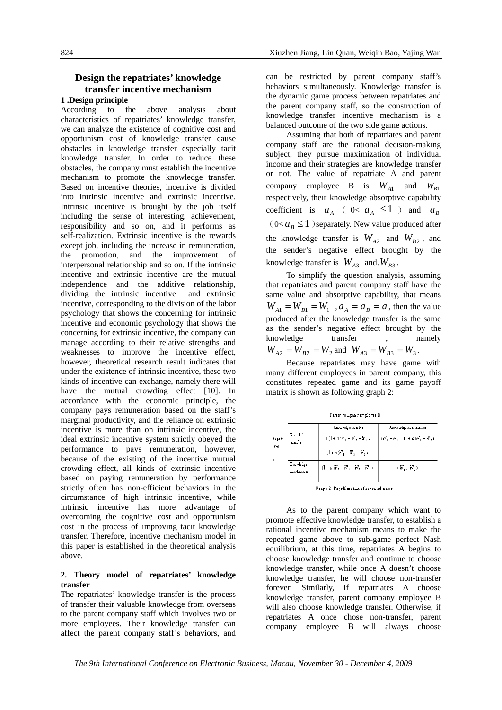## **Design the repatriates' knowledge transfer incentive mechanism**

## **1 .Design principle**

According to the above analysis about characteristics of repatriates' knowledge transfer, we can analyze the existence of cognitive cost and opportunism cost of knowledge transfer cause obstacles in knowledge transfer especially tacit knowledge transfer. In order to reduce these obstacles, the company must establish the incentive mechanism to promote the knowledge transfer. Based on incentive theories, incentive is divided into intrinsic incentive and extrinsic incentive. Intrinsic incentive is brought by the job itself including the sense of interesting, achievement, responsibility and so on, and it performs as self-realization. Extrinsic incentive is the rewards except job, including the increase in remuneration, the promotion, and the improvement of interpersonal relationship and so on. If the intrinsic incentive and extrinsic incentive are the mutual independence and the additive relationship, dividing the intrinsic incentive and extrinsic incentive, corresponding to the division of the labor psychology that shows the concerning for intrinsic incentive and economic psychology that shows the concerning for extrinsic incentive, the company can manage according to their relative strengths and weaknesses to improve the incentive effect, however, theoretical research result indicates that under the existence of intrinsic incentive, these two kinds of incentive can exchange, namely there will have the mutual crowding effect [10]. In accordance with the economic principle, the company pays remuneration based on the staff's marginal productivity, and the reliance on extrinsic incentive is more than on intrinsic incentive, the ideal extrinsic incentive system strictly obeyed the performance to pays remuneration, however, because of the existing of the incentive mutual crowding effect, all kinds of extrinsic incentive based on paying remuneration by performance strictly often has non-efficient behaviors in the circumstance of high intrinsic incentive, while intrinsic incentive has more advantage of overcoming the cognitive cost and opportunism cost in the process of improving tacit knowledge transfer. Therefore, incentive mechanism model in this paper is established in the theoretical analysis above.

#### **2. Theory model of repatriates' knowledge transfer**

The repatriates' knowledge transfer is the process of transfer their valuable knowledge from overseas to the parent company staff which involves two or more employees. Their knowledge transfer can affect the parent company staff's behaviors, and

can be restricted by parent company staff's behaviors simultaneously. Knowledge transfer is the dynamic game process between repatriates and the parent company staff, so the construction of knowledge transfer incentive mechanism is a balanced outcome of the two side game actions.

Assuming that both of repatriates and parent company staff are the rational decision-making subject, they pursue maximization of individual income and their strategies are knowledge transfer or not. The value of repatriate A and parent company employee B is  $W_{A1}$  and  $W_{B1}$ respectively, their knowledge absorptive capability coefficient is  $a_A$  (  $0 < a_A \leq 1$  ) and  $a_B$  $(0 < a<sub>B</sub> \le 1)$  separately. New value produced after the knowledge transfer is  $W_{A2}$  and  $W_{B2}$ , and the sender's negative effect brought by the knowledge transfer is  $W_{A3}$  and.  $W_{B3}$ .

To simplify the question analysis, assuming that repatriates and parent company staff have the same value and absorptive capability, that means  $W_{A1} = W_{B1} = W_1$ ,  $a_A = a_B = a$ , then the value produced after the knowledge transfer is the same as the sender's negative effect brought by the knowledge transfer , namely  $W_{A2} = W_{B2} = W_2$  and  $W_{A3} = W_{B3} = W_3$ .

Because repatriates may have game with many different employees in parent company, this constitutes repeated game and its game payoff matrix is shown as following graph 2:

| Parent company employee |  |
|-------------------------|--|

 $\overline{R}$ 

|                           | Knowledge transfer               | Knowledge non-transfer          |
|---------------------------|----------------------------------|---------------------------------|
| Knowledge<br>transfer     | $(1 + a)W_1 + W_2 - W_3$         | $(W_1 - W_1, (1 + a)W_1 + W_1)$ |
|                           | $(1 + a)W, + W, -W,$             |                                 |
| Knowledge<br>non-transfer | $(1 + a)W_1 + W_2$ . $W_1 - W_3$ | $(W_1, W_2)$                    |
|                           |                                  |                                 |

Graph 2: Payoff matrix of repeated game

As to the parent company which want to promote effective knowledge transfer, to establish a rational incentive mechanism means to make the repeated game above to sub-game perfect Nash equilibrium, at this time, repatriates A begins to choose knowledge transfer and continue to choose knowledge transfer, while once A doesn't choose knowledge transfer, he will choose non-transfer forever. Similarly, if repatriates A choose knowledge transfer, parent company employee B will also choose knowledge transfer. Otherwise, if repatriates A once chose non-transfer, parent company employee B will always choose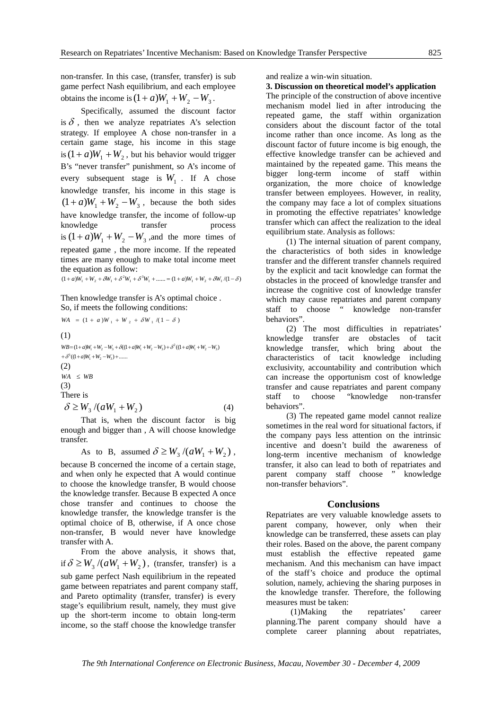non-transfer. In this case, (transfer, transfer) is sub game perfect Nash equilibrium, and each employee obtains the income is  $(1 + a)W_1 + W_2 - W_3$ .

Specifically, assumed the discount factor is  $\delta$ , then we analyze repatriates A's selection strategy. If employee A chose non-transfer in a certain game stage, his income in this stage is  $(1 + a)W_1 + W_2$ , but his behavior would trigger B's "never transfer" punishment, so A's income of every subsequent stage is  $W_1$ . If A chose knowledge transfer, his income in this stage is  $(1 + a)W_1 + W_2 - W_3$ , because the both sides have knowledge transfer, the income of follow-up knowledge transfer process is  $(1 + a)W_1 + W_2 - W_3$ , and the more times of repeated game , the more income. If the repeated times are many enough to make total income meet the equation as follow:

 $(1 + a)W_1 + W_2 + \delta W_1 + \delta^2 W_1 + \delta^3 W_1 + \dots = (1 + a)W_1 + W_2 + \delta W_1 / (1 - \delta)$ 

Then knowledge transfer is A's optimal choice . So, if meets the following conditions:

 $WA = (1 + a)W_1 + W_2 + \delta W_1 / (1 - \delta)$ 

(1)

 $+\delta^3((1+a)W_1+W_2-W_3)+......$  $WB = (1+a)W_1 + W_2 - W_3 + \delta((1+a)W_1 + W_2 - W_3) + \delta^2((1+a)W_1 + W_2 - W_3)$ (2)  $WA \le WB$  $(3)$ There is

$$
\delta \ge W_3 / (aW_1 + W_2) \tag{4}
$$

That is, when the discount factor is big enough and bigger than , A will choose knowledge transfer.

As to B, assumed  $\delta \geq W_3 / (aW_1 + W_2)$ , because B concerned the income of a certain stage, and when only he expected that A would continue to choose the knowledge transfer, B would choose the knowledge transfer. Because B expected A once chose transfer and continues to choose the knowledge transfer, the knowledge transfer is the optimal choice of B, otherwise, if A once chose non-transfer, B would never have knowledge transfer with A.

From the above analysis, it shows that, if  $\delta \geq W_3 / (aW_1 + W_2)$ , (transfer, transfer) is a sub game perfect Nash equilibrium in the repeated game between repatriates and parent company staff, and Pareto optimality (transfer, transfer) is every stage's equilibrium result, namely, they must give up the short-term income to obtain long-term income, so the staff choose the knowledge transfer

and realize a win-win situation.

**3. Discussion on theoretical model's application** 

The principle of the construction of above incentive mechanism model lied in after introducing the repeated game, the staff within organization considers about the discount factor of the total income rather than once income. As long as the discount factor of future income is big enough, the effective knowledge transfer can be achieved and maintained by the repeated game. This means the bigger long-term income of staff within organization, the more choice of knowledge transfer between employees. However, in reality, the company may face a lot of complex situations in promoting the effective repatriates' knowledge transfer which can affect the realization to the ideal equilibrium state. Analysis as follows:

(1) The internal situation of parent company, the characteristics of both sides in knowledge transfer and the different transfer channels required by the explicit and tacit knowledge can format the obstacles in the proceed of knowledge transfer and increase the cognitive cost of knowledge transfer which may cause repatriates and parent company staff to choose " knowledge non-transfer behaviors".

(2) The most difficulties in repatriates' knowledge transfer are obstacles of tacit knowledge transfer, which bring about the characteristics of tacit knowledge including exclusivity, accountability and contribution which can increase the opportunism cost of knowledge transfer and cause repatriates and parent company staff to choose "knowledge non-transfer behaviors".

(3) The repeated game model cannot realize sometimes in the real word for situational factors, if the company pays less attention on the intrinsic incentive and doesn't build the awareness of long-term incentive mechanism of knowledge transfer, it also can lead to both of repatriates and parent company staff choose " knowledge non-transfer behaviors".

#### **Conclusions**

Repatriates are very valuable knowledge assets to parent company, however, only when their knowledge can be transferred, these assets can play their roles. Based on the above, the parent company must establish the effective repeated game mechanism. And this mechanism can have impact of the staff's choice and produce the optimal solution, namely, achieving the sharing purposes in the knowledge transfer. Therefore, the following measures must be taken:

 (1)Making the repatriates' career planning.The parent company should have a complete career planning about repatriates,